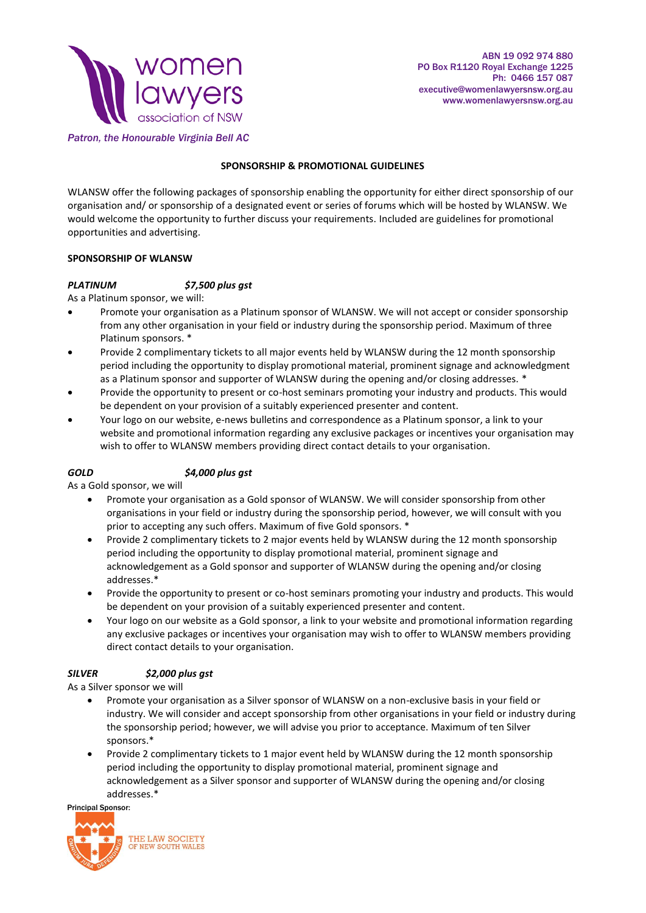

#### *Patron, the Honourable Virginia Bell AC*

## **SPONSORSHIP & PROMOTIONAL GUIDELINES**

WLANSW offer the following packages of sponsorship enabling the opportunity for either direct sponsorship of our organisation and/ or sponsorship of a designated event or series of forums which will be hosted by WLANSW. We would welcome the opportunity to further discuss your requirements. Included are guidelines for promotional opportunities and advertising.

#### **SPONSORSHIP OF WLANSW**

# *PLATINUM \$7,500 plus gst*

As a Platinum sponsor, we will:

- Promote your organisation as a Platinum sponsor of WLANSW. We will not accept or consider sponsorship from any other organisation in your field or industry during the sponsorship period. Maximum of three Platinum sponsors. \*
- Provide 2 complimentary tickets to all major events held by WLANSW during the 12 month sponsorship period including the opportunity to display promotional material, prominent signage and acknowledgment as a Platinum sponsor and supporter of WLANSW during the opening and/or closing addresses. \*
- Provide the opportunity to present or co-host seminars promoting your industry and products. This would be dependent on your provision of a suitably experienced presenter and content.
- Your logo on our website, e-news bulletins and correspondence as a Platinum sponsor, a link to your website and promotional information regarding any exclusive packages or incentives your organisation may wish to offer to WLANSW members providing direct contact details to your organisation.

#### *GOLD \$4,000 plus gst*

As a Gold sponsor, we will

- Promote your organisation as a Gold sponsor of WLANSW. We will consider sponsorship from other organisations in your field or industry during the sponsorship period, however, we will consult with you prior to accepting any such offers. Maximum of five Gold sponsors. \*
- Provide 2 complimentary tickets to 2 major events held by WLANSW during the 12 month sponsorship period including the opportunity to display promotional material, prominent signage and acknowledgement as a Gold sponsor and supporter of WLANSW during the opening and/or closing addresses.\*
- Provide the opportunity to present or co-host seminars promoting your industry and products. This would be dependent on your provision of a suitably experienced presenter and content.
- Your logo on our website as a Gold sponsor, a link to your website and promotional information regarding any exclusive packages or incentives your organisation may wish to offer to WLANSW members providing direct contact details to your organisation.

#### *SILVER \$2,000 plus gst*

As a Silver sponsor we will

- Promote your organisation as a Silver sponsor of WLANSW on a non-exclusive basis in your field or industry. We will consider and accept sponsorship from other organisations in your field or industry during the sponsorship period; however, we will advise you prior to acceptance. Maximum of ten Silver sponsors.\*
- Provide 2 complimentary tickets to 1 major event held by WLANSW during the 12 month sponsorship period including the opportunity to display promotional material, prominent signage and acknowledgement as a Silver sponsor and supporter of WLANSW during the opening and/or closing addresses.\*